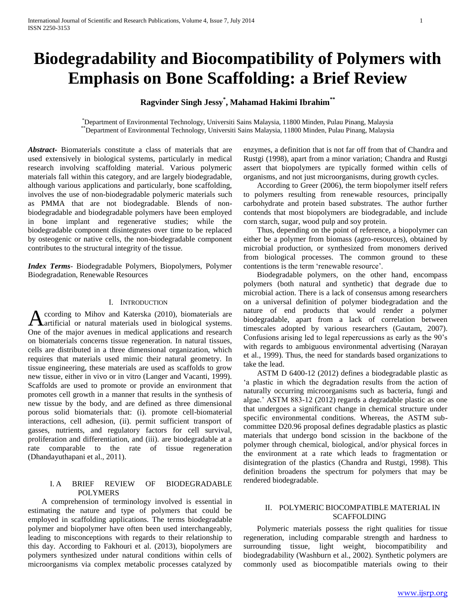# **Biodegradability and Biocompatibility of Polymers with Emphasis on Bone Scaffolding: a Brief Review**

## **Ragvinder Singh Jessy\* , Mahamad Hakimi Ibrahim\*\***

\*Department of Environmental Technology, Universiti Sains Malaysia, 11800 Minden, Pulau Pinang, Malaysia \*\*Department of Environmental Technology, Universiti Sains Malaysia, 11800 Minden, Pulau Pinang, Malaysia

*Abstract***-** Biomaterials constitute a class of materials that are used extensively in biological systems, particularly in medical research involving scaffolding material. Various polymeric materials fall within this category, and are largely biodegradable, although various applications and particularly, bone scaffolding, involves the use of non-biodegradable polymeric materials such as PMMA that are not biodegradable. Blends of nonbiodegradable and biodegradable polymers have been employed in bone implant and regenerative studies; while the biodegradable component disintegrates over time to be replaced by osteogenic or native cells, the non-biodegradable component contributes to the structural integrity of the tissue.

*Index Terms*- Biodegradable Polymers, Biopolymers, Polymer Biodegradation, Renewable Resources

## I. INTRODUCTION

ccording to Mihov and Katerska (2010), biomaterials are According to Mihov and Katerska (2010), biomaterials are<br>Aartificial or natural materials used in biological systems. One of the major avenues in medical applications and research on biomaterials concerns tissue regeneration. In natural tissues, cells are distributed in a three dimensional organization, which requires that materials used mimic their natural geometry. In tissue engineering, these materials are used as scaffolds to grow new tissue, either in vivo or in vitro (Langer and Vacanti, 1999). Scaffolds are used to promote or provide an environment that promotes cell growth in a manner that results in the synthesis of new tissue by the body, and are defined as three dimensional porous solid biomaterials that: (i). promote cell-biomaterial interactions, cell adhesion, (ii). permit sufficient transport of gasses, nutrients, and regulatory factors for cell survival, proliferation and differentiation, and (iii). are biodegradable at a rate comparable to the rate of tissue regeneration (Dhandayuthapani et al., 2011).

## I. A BRIEF REVIEW OF BIODEGRADABLE POLYMERS

 A comprehension of terminology involved is essential in estimating the nature and type of polymers that could be employed in scaffolding applications. The terms biodegradable polymer and biopolymer have often been used interchangeably, leading to misconceptions with regards to their relationship to this day. According to Fakhouri et al. (2013), biopolymers are polymers synthesized under natural conditions within cells of microorganisms via complex metabolic processes catalyzed by

enzymes, a definition that is not far off from that of Chandra and Rustgi (1998), apart from a minor variation; Chandra and Rustgi assert that biopolymers are typically formed within cells of organisms, and not just microorganisms, during growth cycles.

 According to Greer (2006), the term biopolymer itself refers to polymers resulting from renewable resources, principally carbohydrate and protein based substrates. The author further contends that most biopolymers are biodegradable, and include corn starch, sugar, wood pulp and soy protein.

 Thus, depending on the point of reference, a biopolymer can either be a polymer from biomass (agro-resources), obtained by microbial production, or synthesized from monomers derived from biological processes. The common ground to these contentions is the term 'renewable resource'.

 Biodegradable polymers, on the other hand, encompass polymers (both natural and synthetic) that degrade due to microbial action. There is a lack of consensus among researchers on a universal definition of polymer biodegradation and the nature of end products that would render a polymer biodegradable, apart from a lack of correlation between timescales adopted by various researchers (Gautam, 2007). Confusions arising led to legal repercussions as early as the 90's with regards to ambiguous environmental advertising (Narayan et al., 1999). Thus, the need for standards based organizations to take the lead.

 ASTM D 6400-12 (2012) defines a biodegradable plastic as 'a plastic in which the degradation results from the action of naturally occurring microorganisms such as bacteria, fungi and algae.' ASTM 883-12 (2012) regards a degradable plastic as one that undergoes a significant change in chemical structure under specific environmental conditions. Whereas, the ASTM subcommittee D20.96 proposal defines degradable plastics as plastic materials that undergo bond scission in the backbone of the polymer through chemical, biological, and/or physical forces in the environment at a rate which leads to fragmentation or disintegration of the plastics (Chandra and Rustgi, 1998). This definition broadens the spectrum for polymers that may be rendered biodegradable.

## II. POLYMERIC BIOCOMPATIBLE MATERIAL IN SCAFFOLDING

 Polymeric materials possess the right qualities for tissue regeneration, including comparable strength and hardness to surrounding tissue, light weight, biocompatibility and biodegradability (Washburn et al., 2002). Synthetic polymers are commonly used as biocompatible materials owing to their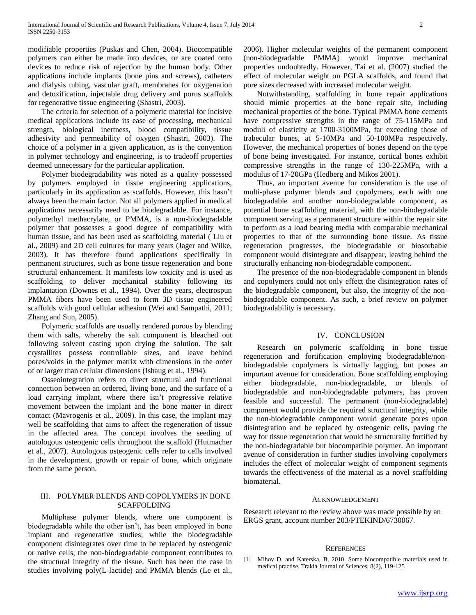modifiable properties (Puskas and Chen, 2004). Biocompatible polymers can either be made into devices, or are coated onto devices to reduce risk of rejection by the human body. Other applications include implants (bone pins and screws), catheters and dialysis tubing, vascular graft, membranes for oxygenation and detoxification, injectable drug delivery and porus scaffolds for regenerative tissue engineering (Shastri, 2003).

 The criteria for selection of a polymeric material for incisive medical applications include its ease of processing, mechanical strength, biological inertness, blood compatibility, tissue adhesivity and permeability of oxygen (Shastri, 2003). The choice of a polymer in a given application, as is the convention in polymer technology and engineering, is to tradeoff properties deemed unnecessary for the particular application.

 Polymer biodegradability was noted as a quality possessed by polymers employed in tissue engineering applications, particularly in its application as scaffolds. However, this hasn't always been the main factor. Not all polymers applied in medical applications necessarily need to be biodegradable. For instance, polymethyl methacrylate, or PMMA, is a non-biodegradable polymer that possesses a good degree of compatibility with human tissue, and has been used as scaffolding material ( Liu et al., 2009) and 2D cell cultures for many years (Jager and Wilke, 2003). It has therefore found applications specifically in permanent structures, such as bone tissue regeneration and bone structural enhancement. It manifests low toxicity and is used as scaffolding to deliver mechanical stability following its implantation (Downes et al., 1994). Over the years, electrospun PMMA fibers have been used to form 3D tissue engineered scaffolds with good cellular adhesion (Wei and Sampathi, 2011; Zhang and Sun, 2005).

 Polymeric scaffolds are usually rendered porous by blending them with salts, whereby the salt component is bleached out following solvent casting upon drying the solution. The salt crystallites possess controllable sizes, and leave behind pores/voids in the polymer matrix with dimensions in the order of or larger than cellular dimensions (Ishaug et al., 1994).

 Osseointegration refers to direct structural and functional connection between an ordered, living bone, and the surface of a load carrying implant, where there isn't progressive relative movement between the implant and the bone matter in direct contact (Mavrogenis et al., 2009). In this case, the implant may well be scaffolding that aims to affect the regeneration of tissue in the affected area. The concept involves the seeding of autologous osteogenic cells throughout the scaffold (Hutmacher et al., 2007). Autologous osteogenic cells refer to cells involved in the development, growth or repair of bone, which originate from the same person.

## III. POLYMER BLENDS AND COPOLYMERS IN BONE SCAFFOLDING

 Multiphase polymer blends, where one component is biodegradable while the other isn't, has been employed in bone implant and regenerative studies; while the biodegradable component disintegrates over time to be replaced by osteogenic or native cells, the non-biodegradable component contributes to the structural integrity of the tissue. Such has been the case in studies involving poly(L-lactide) and PMMA blends (Le et al.,

2006). Higher molecular weights of the permanent component (non-biodegradable PMMA) would improve mechanical properties undoubtedly. However, Tai et al. (2007) studied the effect of molecular weight on PGLA scaffolds, and found that pore sizes decreased with increased molecular weight.

 Notwithstanding, scaffolding in bone repair applications should mimic properties at the bone repair site, including mechanical properties of the bone. Typical PMMA bone cements have compressive strengths in the range of 75-115MPa and moduli of elasticity at 1700-3100MPa, far exceeding those of trabecular bones, at 5-10MPa and 50-100MPa respectively. However, the mechanical properties of bones depend on the type of bone being investigated. For instance, cortical bones exhibit compressive strengths in the range of 130-225MPa, with a modulus of 17-20GPa (Hedberg and Mikos 2001).

 Thus, an important avenue for consideration is the use of multi-phase polymer blends and copolymers, each with one biodegradable and another non-biodegradable component, as potential bone scaffolding material, with the non-biodegradable component serving as a permanent structure within the repair site to perform as a load bearing media with comparable mechanical properties to that of the surrounding bone tissue. As tissue regeneration progresses, the biodegradable or biosorbable component would disintegrate and disappear, leaving behind the structurally enhancing non-biodegradable component.

 The presence of the non-biodegradable component in blends and copolymers could not only effect the disintegration rates of the biodegradable component, but also, the integrity of the nonbiodegradable component. As such, a brief review on polymer biodegradability is necessary.

## IV. CONCLUSION

 Research on polymeric scaffolding in bone tissue regeneration and fortification employing biodegradable/nonbiodegradable copolymers is virtually lagging, but poses an important avenue for consideration. Bone scaffolding employing either biodegradable, non-biodegradable, or blends of biodegradable and non-biodegradable polymers, has proven feasible and successful. The permanent (non-biodegradable) component would provide the required structural integrity, while the non-biodegradable component would generate pores upon disintegration and be replaced by osteogenic cells, paving the way for tissue regeneration that would be structurally fortified by the non-biodegradable but biocompatible polymer. An important avenue of consideration in further studies involving copolymers includes the effect of molecular weight of component segments towards the effectiveness of the material as a novel scaffolding biomaterial.

#### ACKNOWLEDGEMENT

Research relevant to the review above was made possible by an ERGS grant, account number 203/PTEKIND/6730067.

#### **REFERENCES**

[1] Mihov D. and Katerska, B. 2010. Some biocompatible materials used in medical practise. Trakia Journal of Sciences. 8(2), 119-125